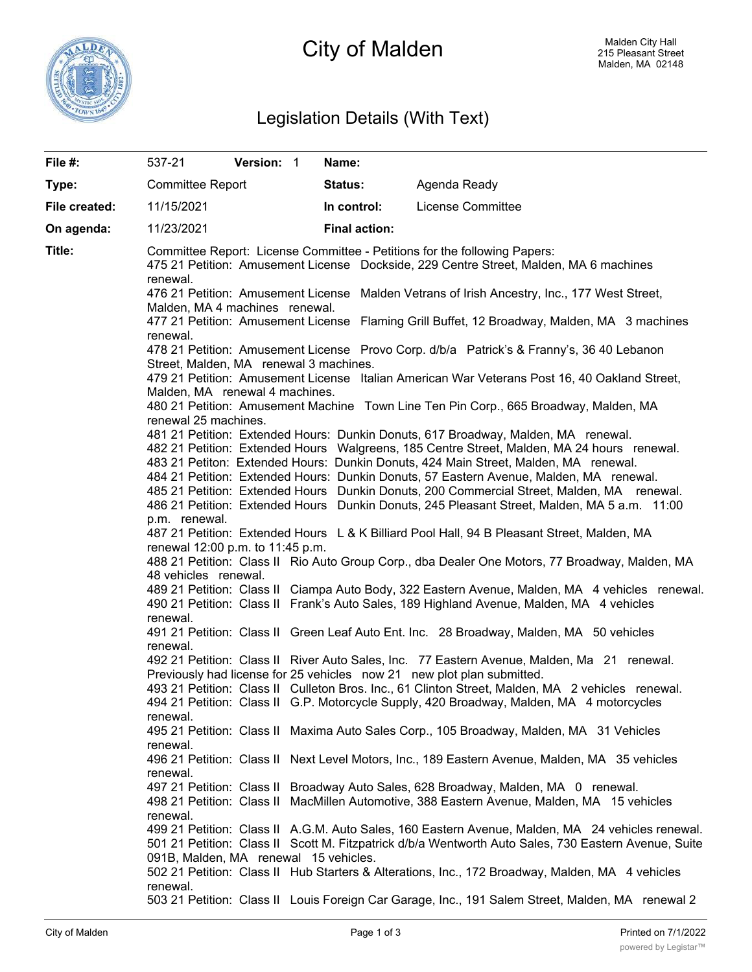

# City of Malden

## Legislation Details (With Text)

| File #:       | 537-21                                                                                                                                                                                                                       | Version: 1 |  | Name:                |                                                                                                                                                                                                          |  |  |  |
|---------------|------------------------------------------------------------------------------------------------------------------------------------------------------------------------------------------------------------------------------|------------|--|----------------------|----------------------------------------------------------------------------------------------------------------------------------------------------------------------------------------------------------|--|--|--|
| Type:         | <b>Committee Report</b>                                                                                                                                                                                                      |            |  | <b>Status:</b>       | Agenda Ready                                                                                                                                                                                             |  |  |  |
| File created: | 11/15/2021                                                                                                                                                                                                                   |            |  | In control:          | License Committee                                                                                                                                                                                        |  |  |  |
| On agenda:    | 11/23/2021                                                                                                                                                                                                                   |            |  | <b>Final action:</b> |                                                                                                                                                                                                          |  |  |  |
| Title:        | renewal.                                                                                                                                                                                                                     |            |  |                      | Committee Report: License Committee - Petitions for the following Papers:<br>475 21 Petition: Amusement License Dockside, 229 Centre Street, Malden, MA 6 machines                                       |  |  |  |
|               | 476 21 Petition: Amusement License Malden Vetrans of Irish Ancestry, Inc., 177 West Street,<br>Malden, MA 4 machines renewal.<br>477 21 Petition: Amusement License Flaming Grill Buffet, 12 Broadway, Malden, MA 3 machines |            |  |                      |                                                                                                                                                                                                          |  |  |  |
|               | renewal.                                                                                                                                                                                                                     |            |  |                      |                                                                                                                                                                                                          |  |  |  |
|               | 478 21 Petition: Amusement License Provo Corp. d/b/a Patrick's & Franny's, 36 40 Lebanon<br>Street, Malden, MA renewal 3 machines.                                                                                           |            |  |                      |                                                                                                                                                                                                          |  |  |  |
|               | 479 21 Petition: Amusement License Italian American War Veterans Post 16, 40 Oakland Street,<br>Malden, MA renewal 4 machines.                                                                                               |            |  |                      |                                                                                                                                                                                                          |  |  |  |
|               | renewal 25 machines.                                                                                                                                                                                                         |            |  |                      | 480 21 Petition: Amusement Machine Town Line Ten Pin Corp., 665 Broadway, Malden, MA                                                                                                                     |  |  |  |
|               |                                                                                                                                                                                                                              |            |  |                      | 481 21 Petition: Extended Hours: Dunkin Donuts, 617 Broadway, Malden, MA renewal.<br>482 21 Petition: Extended Hours Walgreens, 185 Centre Street, Malden, MA 24 hours renewal.                          |  |  |  |
|               | 483 21 Petiton: Extended Hours: Dunkin Donuts, 424 Main Street, Malden, MA renewal.<br>484 21 Petition: Extended Hours: Dunkin Donuts, 57 Eastern Avenue, Malden, MA renewal.                                                |            |  |                      |                                                                                                                                                                                                          |  |  |  |
|               | 485 21 Petition: Extended Hours Dunkin Donuts, 200 Commercial Street, Malden, MA renewal.<br>486 21 Petition: Extended Hours Dunkin Donuts, 245 Pleasant Street, Malden, MA 5 a.m. 11:00                                     |            |  |                      |                                                                                                                                                                                                          |  |  |  |
|               | p.m. renewal.                                                                                                                                                                                                                |            |  |                      | 487 21 Petition: Extended Hours L & K Billiard Pool Hall, 94 B Pleasant Street, Malden, MA                                                                                                               |  |  |  |
|               | renewal 12:00 p.m. to 11:45 p.m.                                                                                                                                                                                             |            |  |                      |                                                                                                                                                                                                          |  |  |  |
|               | 488 21 Petition: Class II Rio Auto Group Corp., dba Dealer One Motors, 77 Broadway, Malden, MA                                                                                                                               |            |  |                      |                                                                                                                                                                                                          |  |  |  |
|               | 48 vehicles renewal.<br>489 21 Petition: Class II Ciampa Auto Body, 322 Eastern Avenue, Malden, MA 4 vehicles renewal.                                                                                                       |            |  |                      |                                                                                                                                                                                                          |  |  |  |
|               |                                                                                                                                                                                                                              |            |  |                      | 490 21 Petition: Class II Frank's Auto Sales, 189 Highland Avenue, Malden, MA 4 vehicles                                                                                                                 |  |  |  |
|               | renewal.<br>renewal.                                                                                                                                                                                                         |            |  |                      | 491 21 Petition: Class II Green Leaf Auto Ent. Inc. 28 Broadway, Malden, MA 50 vehicles                                                                                                                  |  |  |  |
|               |                                                                                                                                                                                                                              |            |  |                      | 492 21 Petition: Class II River Auto Sales, Inc. 77 Eastern Avenue, Malden, Ma 21 renewal.<br>Previously had license for 25 vehicles now 21 new plot plan submitted.                                     |  |  |  |
|               |                                                                                                                                                                                                                              |            |  |                      | 493 21 Petition: Class II Culleton Bros. Inc., 61 Clinton Street, Malden, MA 2 vehicles renewal.<br>494 21 Petition: Class II G.P. Motorcycle Supply, 420 Broadway, Malden, MA 4 motorcycles             |  |  |  |
|               | renewal.<br>renewal.                                                                                                                                                                                                         |            |  |                      | 495 21 Petition: Class II Maxima Auto Sales Corp., 105 Broadway, Malden, MA 31 Vehicles                                                                                                                  |  |  |  |
|               | renewal.                                                                                                                                                                                                                     |            |  |                      | 496 21 Petition: Class II Next Level Motors, Inc., 189 Eastern Avenue, Malden, MA 35 vehicles                                                                                                            |  |  |  |
|               |                                                                                                                                                                                                                              |            |  |                      | 497 21 Petition: Class II Broadway Auto Sales, 628 Broadway, Malden, MA 0 renewal.<br>498 21 Petition: Class II MacMillen Automotive, 388 Eastern Avenue, Malden, MA 15 vehicles                         |  |  |  |
|               | renewal.                                                                                                                                                                                                                     |            |  |                      | 499 21 Petition: Class II A.G.M. Auto Sales, 160 Eastern Avenue, Malden, MA 24 vehicles renewal.<br>501 21 Petition: Class II Scott M. Fitzpatrick d/b/a Wentworth Auto Sales, 730 Eastern Avenue, Suite |  |  |  |
|               | 091B, Malden, MA renewal 15 vehicles.                                                                                                                                                                                        |            |  |                      | 502 21 Petition: Class II Hub Starters & Alterations, Inc., 172 Broadway, Malden, MA 4 vehicles                                                                                                          |  |  |  |
|               | renewal.                                                                                                                                                                                                                     |            |  |                      | 503 21 Petition: Class II Louis Foreign Car Garage, Inc., 191 Salem Street, Malden, MA renewal 2                                                                                                         |  |  |  |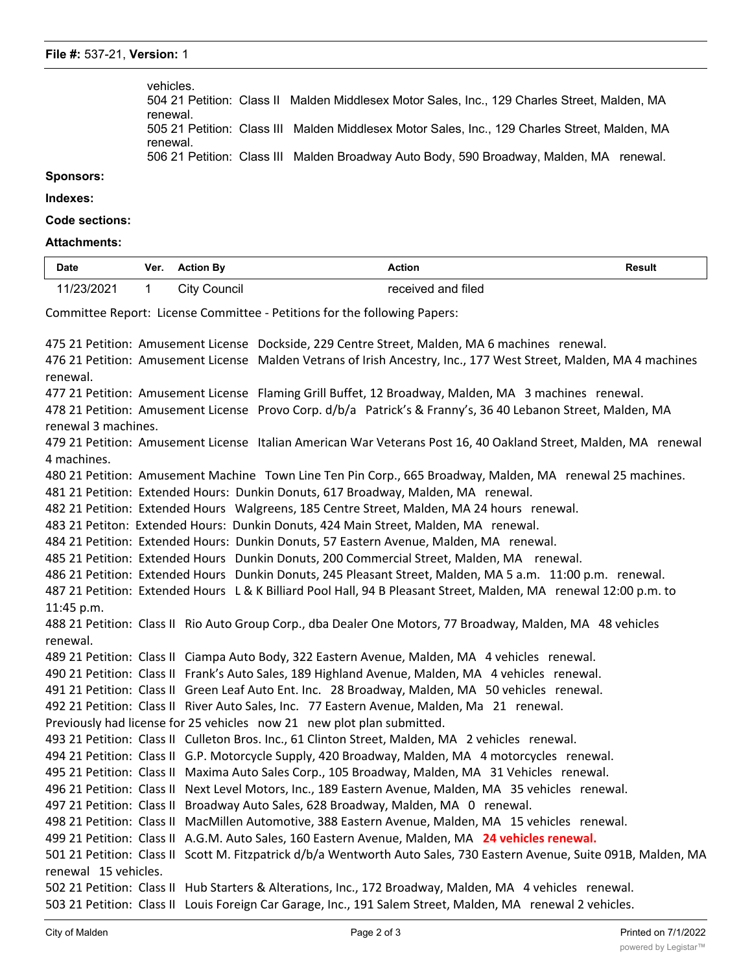| vehicles. | 504 21 Petition: Class II Malden Middlesex Motor Sales. Inc., 129 Charles Street. Malden. MA  |
|-----------|-----------------------------------------------------------------------------------------------|
| renewal.  |                                                                                               |
|           | 505 21 Petition: Class III Malden Middlesex Motor Sales. Inc., 129 Charles Street, Malden, MA |
| renewal.  |                                                                                               |
|           | 506 21 Petition: Class III Malden Broadway Auto Body, 590 Broadway, Malden, MA renewal.       |

**Sponsors:**

### **Indexes:**

**Code sections:**

#### **Attachments:**

| <b>Date</b> | Ver. | 'ion Bv         | Action<br>.            | Result<br>. |
|-------------|------|-----------------|------------------------|-------------|
|             |      | ∵itv<br>`ouncil | ำnd filed<br>receiver' |             |

Committee Report: License Committee - Petitions for the following Papers:

475 21 Petition: Amusement License Dockside, 229 Centre Street, Malden, MA 6 machines renewal. 476 21 Petition: Amusement License Malden Vetrans of Irish Ancestry, Inc., 177 West Street, Malden, MA 4 machines renewal. 477 21 Petition: Amusement License Flaming Grill Buffet, 12 Broadway, Malden, MA 3 machines renewal. 478 21 Petition: Amusement License Provo Corp. d/b/a Patrick's & Franny's, 36 40 Lebanon Street, Malden, MA renewal 3 machines. 479 21 Petition: Amusement License Italian American War Veterans Post 16, 40 Oakland Street, Malden, MA renewal 4 machines. 480 21 Petition: Amusement Machine Town Line Ten Pin Corp., 665 Broadway, Malden, MA renewal 25 machines. 481 21 Petition: Extended Hours: Dunkin Donuts, 617 Broadway, Malden, MA renewal. 482 21 Petition: Extended Hours Walgreens, 185 Centre Street, Malden, MA 24 hours renewal. 483 21 Petiton: Extended Hours: Dunkin Donuts, 424 Main Street, Malden, MA renewal. 484 21 Petition: Extended Hours: Dunkin Donuts, 57 Eastern Avenue, Malden, MA renewal. 485 21 Petition: Extended Hours Dunkin Donuts, 200 Commercial Street, Malden, MA renewal. 486 21 Petition: Extended Hours Dunkin Donuts, 245 Pleasant Street, Malden, MA 5 a.m. 11:00 p.m. renewal. 487 21 Petition: Extended Hours L & K Billiard Pool Hall, 94 B Pleasant Street, Malden, MA renewal 12:00 p.m. to 11:45 p.m. 488 21 Petition: Class II Rio Auto Group Corp., dba Dealer One Motors, 77 Broadway, Malden, MA 48 vehicles renewal. 489 21 Petition: Class II Ciampa Auto Body, 322 Eastern Avenue, Malden, MA 4 vehicles renewal. 490 21 Petition: Class II Frank's Auto Sales, 189 Highland Avenue, Malden, MA 4 vehicles renewal. 491 21 Petition: Class II Green Leaf Auto Ent. Inc. 28 Broadway, Malden, MA 50 vehicles renewal. 492 21 Petition: Class II River Auto Sales, Inc. 77 Eastern Avenue, Malden, Ma 21 renewal. Previously had license for 25 vehicles now 21 new plot plan submitted. 493 21 Petition: Class II Culleton Bros. Inc., 61 Clinton Street, Malden, MA 2 vehicles renewal. 494 21 Petition: Class II G.P. Motorcycle Supply, 420 Broadway, Malden, MA 4 motorcycles renewal. 495 21 Petition: Class II Maxima Auto Sales Corp., 105 Broadway, Malden, MA 31 Vehicles renewal. 496 21 Petition: Class II Next Level Motors, Inc., 189 Eastern Avenue, Malden, MA 35 vehicles renewal. 497 21 Petition: Class II Broadway Auto Sales, 628 Broadway, Malden, MA 0 renewal. 498 21 Petition: Class II MacMillen Automotive, 388 Eastern Avenue, Malden, MA 15 vehicles renewal. 499 21 Petition: Class II A.G.M. Auto Sales, 160 Eastern Avenue, Malden, MA **24 vehicles renewal.** 501 21 Petition: Class II Scott M. Fitzpatrick d/b/a Wentworth Auto Sales, 730 Eastern Avenue, Suite 091B, Malden, MA renewal 15 vehicles. 502 21 Petition: Class II Hub Starters & Alterations, Inc., 172 Broadway, Malden, MA 4 vehicles renewal. 503 21 Petition: Class II Louis Foreign Car Garage, Inc., 191 Salem Street, Malden, MA renewal 2 vehicles.